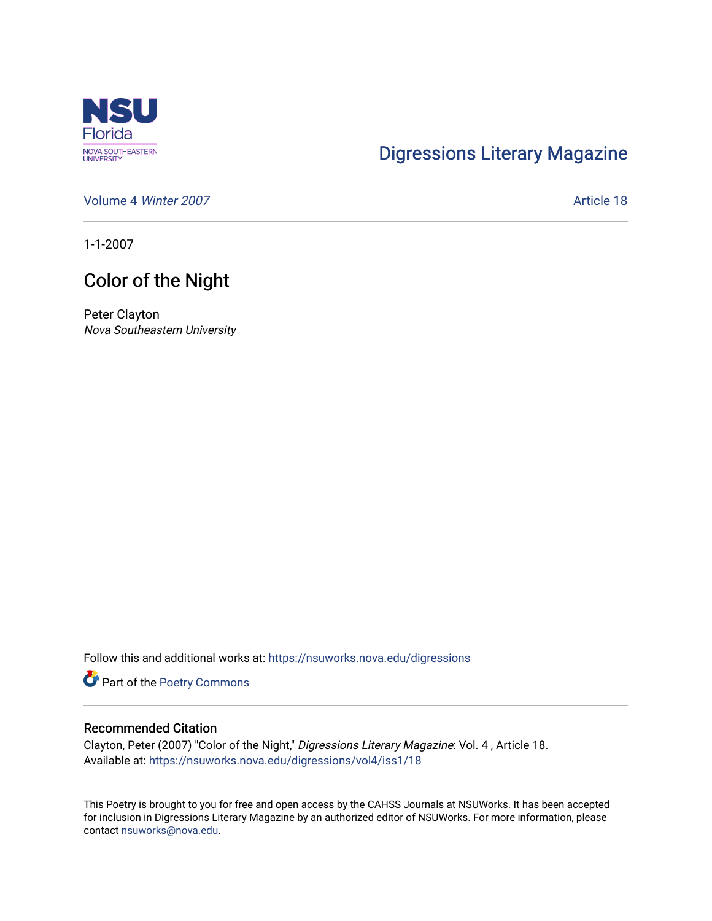

## [Digressions Literary Magazine](https://nsuworks.nova.edu/digressions)

[Volume 4](https://nsuworks.nova.edu/digressions/vol4) Winter 2007 **Article 18** 

1-1-2007

## Color of the Night

Peter Clayton Nova Southeastern University

Follow this and additional works at: [https://nsuworks.nova.edu/digressions](https://nsuworks.nova.edu/digressions?utm_source=nsuworks.nova.edu%2Fdigressions%2Fvol4%2Fiss1%2F18&utm_medium=PDF&utm_campaign=PDFCoverPages) 

Part of the [Poetry Commons](http://network.bepress.com/hgg/discipline/1153?utm_source=nsuworks.nova.edu%2Fdigressions%2Fvol4%2Fiss1%2F18&utm_medium=PDF&utm_campaign=PDFCoverPages) 

## Recommended Citation

Clayton, Peter (2007) "Color of the Night," Digressions Literary Magazine: Vol. 4 , Article 18. Available at: [https://nsuworks.nova.edu/digressions/vol4/iss1/18](https://nsuworks.nova.edu/digressions/vol4/iss1/18?utm_source=nsuworks.nova.edu%2Fdigressions%2Fvol4%2Fiss1%2F18&utm_medium=PDF&utm_campaign=PDFCoverPages) 

This Poetry is brought to you for free and open access by the CAHSS Journals at NSUWorks. It has been accepted for inclusion in Digressions Literary Magazine by an authorized editor of NSUWorks. For more information, please contact [nsuworks@nova.edu.](mailto:nsuworks@nova.edu)